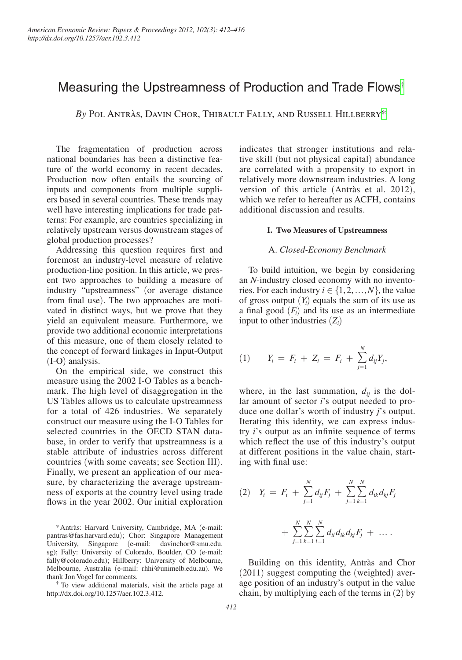# Measuring the Upstreamness of Production and Trade Flows[†](#page-0-0)

*By* Pol Antràs, Davin Chor, Thibault Fally, and Russell Hillberry[\\*](#page-0-1)

The fragmentation of production across national boundaries has been a distinctive feature of the world economy in recent decades. Production now often entails the sourcing of inputs and components from multiple suppliers based in several countries. These trends may well have interesting implications for trade patterns: For example, are countries specializing in relatively upstream versus downstream stages of global production processes?

Addressing this question requires first and foremost an industry-level measure of relative production-line position. In this article, we present two approaches to building a measure of industry "upstreamness" (or average distance from final use). The two approaches are motivated in distinct ways, but we prove that they yield an equivalent measure. Furthermore, we provide two additional economic interpretations of this measure, one of them closely related to the concept of forward linkages in Input-Output (I-O) analysis.

On the empirical side, we construct this measure using the 2002 I-O Tables as a benchmark. The high level of disaggregation in the US Tables allows us to calculate upstreamness for a total of 426 industries. We separately construct our measure using the I-O Tables for selected countries in the OECD STAN database, in order to verify that upstreamness is a stable attribute of industries across different countries (with some caveats; see Section III). Finally, we present an application of our measure, by characterizing the average upstreamness of exports at the country level using trade flows in the year 2002. Our initial exploration

<span id="page-0-1"></span>\*Antràs: Harvard University, Cambridge, MA (e-mail: [pantras@fas.harvard.edu](mailto:pantras@fas.harvard.edu)); Chor: Singapore Management University, Singapore (e-mail: [davinchor@smu.edu.](mailto:davinchor@smu.edu.sg) [sg](mailto:davinchor@smu.edu.sg)); Fally: University of Colorado, Boulder, CO (e-mail: [fally@colorado.edu](mailto:fally@colorado.edu)); Hillberry: University of Melbourne, Melbourne, Australia (e-mail: [rhhi@unimelb.edu.au](mailto:rhhi@unimelb.edu.au)). We

<span id="page-0-0"></span>To view additional materials, visit the article page at [http://dx.doi.org/10.1257/aer.102.](http://dx.doi.org/10.1257/aer.102.3.412)3.412.

indicates that stronger institutions and relative skill (but not physical capital) abundance are correlated with a propensity to export in relatively more downstream industries. A long version of this article (Antràs et al. 2012), which we refer to hereafter as ACFH, contains additional discussion and results.

#### **I. Two Measures of Upstreamness**

#### A. *Closed-Economy Benchmark*

To build intuition, we begin by considering an *N*-industry closed economy with no inventories. For each industry  $i \in \{1, 2, ..., N\}$ , the value of gross output  $(Y_i)$  equals the sum of its use as a final good  $(F<sub>i</sub>)$  and its use as an intermediate input to other industries  $(Z_i)$ 

$$
(1) \t Y_i = F_i + Z_i = F_i + \sum_{j=1}^N d_{ij} Y_j,
$$

where, in the last summation,  $d_{ij}$  is the dollar amount of sector *i*'s output needed to produce one dollar's worth of industry *j*'s output. Iterating this identity, we can express industry *i*'s output as an infinite sequence of terms which reflect the use of this industry's output at different positions in the value chain, starting with final use:

$$
(2) \quad Y_i = F_i + \sum_{j=1}^N d_{ij} F_j + \sum_{j=1}^N \sum_{k=1}^N d_{ik} d_{kj} F_j + \sum_{j=1}^N \sum_{k=1}^N \sum_{l=1}^N d_{il} d_{lk} d_{kj} F_j + \dots
$$

Building on this identity, Antràs and Chor (2011) suggest computing the (weighted) average position of an industry's output in the value chain, by multiplying each of the terms in (2) by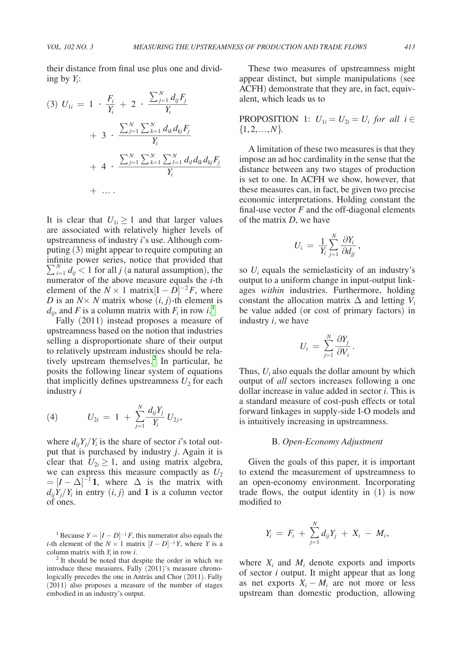ing by *Yi*:

<span id="page-1-0"></span>their distance from final use plus one and dividing by 
$$
Y_i
$$
:  
\n(3)  $U_{1i} = 1 \cdot \frac{F_i}{Y_i} + 2 \cdot \frac{\sum_{j=1}^{N} d_{ij} F_j}{Y_i}$   
\n $+ 3 \cdot \frac{\sum_{j=1}^{N} \sum_{k=1}^{N} d_{ik} d_{kj} F_j}{Y_i}$   
\n $+ 4 \cdot \frac{\sum_{j=1}^{N} \sum_{k=1}^{N} \sum_{l=1}^{N} d_{il} d_{lk} d_{kj} F_j}{Y_i}$   
\n $+ \dots$ 

It is clear that  $U_{1i} \geq 1$  and that larger values are associated with relatively higher levels of upstreamness of industry *i*'s use. Although computing (3) might appear to require computing an infinite power series, notice that provided that  $\sum_{i=1}^{N} d_{ij}$  < 1 for all *j* (a natural assumption), the numerator of the above measure equals the *i*-th element of the  $N \times 1$  matrix $[I - D]^{-2}F$ , where *D* is an  $N \times N$  matrix whose  $(i, j)$ -th element is  $d_{ij}$ , and *F* is a column matrix with  $F_i$  in row *i*.<sup>[1](#page-1-1)</sup>

Fally (2011) instead proposes a measure of upstreamness based on the notion that industries selling a disproportionate share of their output to relatively upstream industries should be relatively upstream themselves.<sup>2</sup> In particular, he posits the following linear system of equations that implicitly defines upstreamness  $U_2$  for each industry *i*

(4) 
$$
U_{2i} = 1 + \sum_{j=1}^{N} \frac{d_{ij}Y_j}{Y_i} U_{2j},
$$

where  $d_{ij}Y_j/Y_i$  is the share of sector *i*'s total output that is purchased by industry *j*. Again it is clear that  $U_{2i} \geq 1$ , and using matrix algebra, we can express this measure compactly as  $U_2$  $=[I - \Delta]^{-1}$ **1**, where  $\Delta$  is the matrix with  $d_{ij}Y_j/Y_i$  in entry  $(i, j)$  and **1** is a column vector of ones.

<span id="page-1-1"></span><sup>1</sup> Because  $Y = [I - D]^{-1}F$ , this numerator also equals the *i*-th element of the  $N \times 1$  matrix  $[I - D]^{-1}Y$ , where *Y* is a column matrix with  $Y_i$  in row i.

<span id="page-1-2"></span><sup>2</sup> It should be noted that despite the order in which we introduce these measures, Fally (2011)'s measure chronologically precedes the one in Antràs and Chor (2011). Fally (2011) also proposes a measure of the number of stages embodied in an industry's output.

These two measures of upstreamness might appear distinct, but simple manipulations (see ACFH) demonstrate that they are, in fact, equivalent, which leads us to

**PROPOSITION** 1: 
$$
U_{1i} = U_{2i} = U_i
$$
 for all  $i \in$  {1, 2, ..., N}.

A limitation of these two measures is that they impose an ad hoc cardinality in the sense that the distance between any two stages of production is set to one. In ACFH we show, however, that these measures can, in fact, be given two precise economic interpretations. Holding constant the final-use vector  $F$  and the off-diagonal elements of the matrix *D*, we have

$$
U_i \,=\, \frac{1}{Y_i} \sum_{j=1}^N \frac{\partial Y_i}{\partial d_{jj}}\,,
$$

so  $U_i$  equals the semielasticity of an industry's output to a uniform change in input-output linkages *within* industries. Furthermore, holding constant the allocation matrix  $\Delta$  and letting  $V_i$ be value added (or cost of primary factors) in industry *i*, we have

$$
U_i = \sum_{j=1}^N \frac{\partial Y_j}{\partial V_i}.
$$

Thus,  $U_i$  also equals the dollar amount by which output of *all* sectors increases following a one dollar increase in value added in sector *i*. This is a standard measure of cost-push effects or total forward linkages in supply-side I-O models and is intuitively increasing in upstreamness.

# B. *Open-Economy Adjustment*

Given the goals of this paper, it is important to extend the measurement of upstreamness to an open-economy environment. Incorporating trade flows, the output identity in (1) is now modified to

$$
Y_i = F_i + \sum_{j=1}^N d_{ij} Y_j + X_i - M_i,
$$

where  $X_i$  and  $M_i$  denote exports and imports of sector *i* output. It might appear that as long as net exports  $X_i - M_i$  are not more or less upstream than domestic production, allowing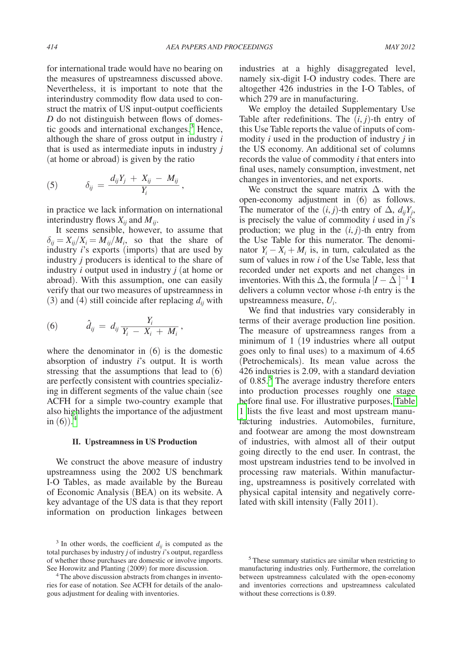<span id="page-2-0"></span>for international trade would have no bearing on the measures of upstreamness discussed above. Nevertheless, it is important to note that the interindustry commodity flow data used to construct the matrix of US input-output coefficients *D* do not distinguish between flows of domestic goods and international exchanges[.3](#page-2-1) Hence, although the share of gross output in industry *i* that is used as intermediate inputs in industry *j*

that is used as intermediate inputs in in  
\n(at home or abroad) is given by the ratio  
\n(5) 
$$
\delta_{ij} = \frac{d_{ij}Y_j + X_{ij} - M_{ij}}{Y_i},
$$

in practice we lack information on international interindustry flows  $X_{ij}$  and  $M_{ij}$ .

It seems sensible, however, to assume that  $\delta_{ii} = X_{ii}/X_i = M_{ii}/M_i$ , so that the share of industry *i*'s exports (imports) that are used by industry *j* producers is identical to the share of industry *i* output used in industry *j* (at home or abroad). With this assumption, one can easily verify that our two measures of upstreamness in

(3) and (4) still coincide after replacing 
$$
d_{ij}
$$
 with  
\n(6) 
$$
\hat{d}_{ij} = d_{ij} \frac{Y_i}{Y_i - X_i + M_i},
$$

where the denominator in (6) is the domestic absorption of industry *i*'s output. It is worth stressing that the assumptions that lead to (6) are perfectly consistent with countries specializing in different segments of the value chain (see ACFH for a simple two-country example that also highlights the importance of the adjustment in  $(6)$ <sup>[4](#page-2-2)</sup>

#### **II. Upstreamness in US Production**

We construct the above measure of industry upstreamness using the 2002 US benchmark I-O Tables, as made available by the Bureau of Economic Analysis (BEA) on its website. A key advantage of the US data is that they report information on production linkages between industries at a highly disaggregated level, namely six-digit I-O industry codes. There are altogether 426 industries in the I-O Tables, of which 279 are in manufacturing.

We employ the detailed Supplementary Use Table after redefinitions. The  $(i, j)$ -th entry of this Use Table reports the value of inputs of commodity *i* used in the production of industry *j* in the US economy. An additional set of columns records the value of commodity *i* that enters into final uses, namely consumption, investment, net changes in inventories, and net exports.

We construct the square matrix  $\Delta$  with the open-economy adjustment in (6) as follows. The numerator of the  $(i, j)$ -th entry of  $\Delta$ ,  $d_{ij}Y_j$ , is precisely the value of commodity *i* used in *j*'s production; we plug in the  $(i, j)$ -th entry from the Use Table for this numerator. The denominator  $Y_i - X_i + M_i$  is, in turn, calculated as the sum of values in row *i* of the Use Table, less that recorded under net exports and net changes in inventories. With this  $\hat{\Delta}$ , the formula  $[I - \tilde{\Delta}]^{-1}$  **1** delivers a column vector whose *i*-th entry is the upstreamness measure, *Ui*.

We find that industries vary considerably in terms of their average production line position. The measure of upstreamness ranges from a minimum of 1 (19 industries where all output goes only to final uses) to a maximum of 4.65 (Petrochemicals). Its mean value across the 426 industries is 2.09, with a standard deviation of 0.8[5](#page-2-3).<sup>5</sup> The average industry therefore enters into production processes roughly one stage before final use. For illustrative purposes, [Table](#page-3-0)  [1](#page-3-0) lists the five least and most upstream manufacturing industries. Automobiles, furniture, and footwear are among the most downstream of industries, with almost all of their output going directly to the end user. In contrast, the most upstream industries tend to be involved in processing raw materials. Within manufacturing, upstreamness is positively correlated with physical capital intensity and negatively correlated with skill intensity (Fally 2011).

<span id="page-2-1"></span> $3$  In other words, the coefficient  $d_{ij}$  is computed as the total purchases by industry *j* of industry *i*'s output, regardless of whether those purchases are domestic or involve imports. See Horowitz and Planting (2009) for more discussion. 4 The above discussion abstracts from changes in invento-

<span id="page-2-2"></span>ries for ease of notation. See ACFH for details of the analogous adjustment for dealing with inventories.

<span id="page-2-3"></span><sup>5</sup> These summary statistics are similar when restricting to manufacturing industries only. Furthermore, the correlation between upstreamness calculated with the open-economy and inventories corrections and upstreamness calculated without these corrections is 0.89.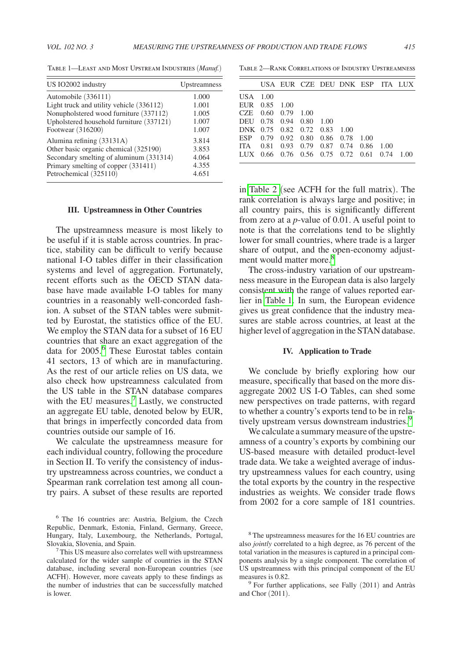| US IO2002 industry                       | Upstreamness |
|------------------------------------------|--------------|
| Automobile (336111)                      | 1.000        |
| Light truck and utility vehicle (336112) | 1.001        |
| Nonupholstered wood furniture (337112)   | 1.005        |
| Upholstered household furniture (337121) | 1.007        |
| Footwear (316200)                        | 1.007        |
| Alumina refining (33131A)                | 3.814        |
| Other basic organic chemical (325190)    | 3.853        |
| Secondary smelting of aluminum (331314)  | 4.064        |
| Primary smelting of copper (331411)      | 4.355        |
| Petrochemical (325110)                   | 4.651        |

<span id="page-3-0"></span>Table 1—Least and Most Upstream Industries (*Manuf.*)

## **III. Upstreamness in Other Countries**

The upstreamness measure is most likely to be useful if it is stable across countries. In practice, stability can be difficult to verify because national I-O tables differ in their classification systems and level of aggregation. Fortunately, recent efforts such as the OECD STAN database have made available I-O tables for many countries in a reasonably well-concorded fashion. A subset of the STAN tables were submitted by Eurostat, the statistics office of the EU. We employ the STAN data for a subset of 16 EU countries that share an exact aggregation of the data for 2005.[6](#page-3-1) These Eurostat tables contain 41 sectors, 13 of which are in manufacturing. As the rest of our article relies on US data, we also check how upstreamness calculated from the US table in the STAN database compares with the EU measures.<sup>7</sup> Lastly, we constructed an aggregate EU table, denoted below by EUR, that brings in imperfectly concorded data from countries outside our sample of 16.

We calculate the upstreamness measure for each individual country, following the procedure in Section II. To verify the consistency of industry upstreamness across countries, we conduct a Spearman rank correlation test among all country pairs. A subset of these results are reported

Table 2—Rank Correlations of Industry Upstreamness

|                              |                    |  | USA EUR CZE DEU DNK ESP ITA LUX             |  |  |
|------------------------------|--------------------|--|---------------------------------------------|--|--|
| USA 1.00                     |                    |  |                                             |  |  |
| EUR 0.85 1.00                |                    |  |                                             |  |  |
|                              | CZE 0.60 0.79 1.00 |  |                                             |  |  |
| DEU 0.78 0.94 0.80 1.00      |                    |  |                                             |  |  |
| DNK 0.75 0.82 0.72 0.83 1.00 |                    |  |                                             |  |  |
|                              |                    |  | ESP 0.79 0.92 0.80 0.86 0.78 1.00           |  |  |
|                              |                    |  | ITA 0.81 0.93 0.79 0.87 0.74 0.86 1.00      |  |  |
|                              |                    |  | LUX 0.66 0.76 0.56 0.75 0.72 0.61 0.74 1.00 |  |  |

in Table 2 (see ACFH for the full matrix). The rank correlation is always large and positive; in all country pairs, this is significantly different from zero at a *p*-value of 0.01. A useful point to note is that the correlations tend to be slightly lower for small countries, where trade is a larger share of output, and the open-economy adjust-ment would matter more.<sup>[8](#page-3-3)</sup>

The cross-industry variation of our upstreamness measure in the European data is also largely consistent with the range of values reported earlier in Table 1. In sum, the European evidence gives us great confidence that the industry measures are stable across countries, at least at the higher level of aggregation in the STAN database.

## **IV. Application to Trade**

We conclude by briefly exploring how our measure, specifically that based on the more disaggregate 2002 US I-O Tables, can shed some new perspectives on trade patterns, with regard to whether a country's exports tend to be in relatively upstream versus downstream industries.<sup>9</sup>

We calculate a summary measure of the upstreamness of a country's exports by combining our US-based measure with detailed product-level trade data. We take a weighted average of industry upstreamness values for each country, using the total exports by the country in the respective industries as weights. We consider trade flows from 2002 for a core sample of 181 countries.

<span id="page-3-1"></span><sup>6</sup> The 16 countries are: Austria, Belgium, the Czech Republic, Denmark, Estonia, Finland, Germany, Greece, Hungary, Italy, Luxembourg, the Netherlands, Portugal, Slovakia, Slovenia, and Spain. 7 This US measure also correlates well with upstreamness

<span id="page-3-2"></span>calculated for the wider sample of countries in the STAN database, including several non-European countries (see ACFH). However, more caveats apply to these findings as the number of industries that can be successfully matched is lower.

<span id="page-3-3"></span><sup>8</sup> The upstreamness measures for the 16 EU countries are also *jointly* correlated to a high degree, as 76 percent of the total variation in the measures is captured in a principal components analysis by a single component. The correlation of US upstreamness with this principal component of the EU measures is 0.82.<br><sup>9</sup> For further applications, see Fally (2011) and Antràs

<span id="page-3-4"></span>and Chor (2011).